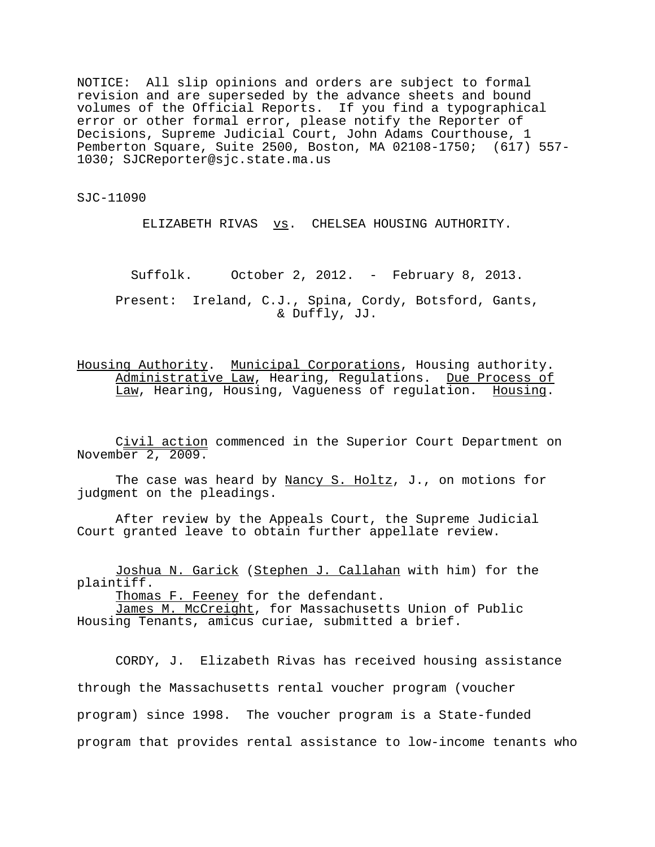NOTICE: All slip opinions and orders are subject to formal revision and are superseded by the advance sheets and bound volumes of the Official Reports. If you find a typographical error or other formal error, please notify the Reporter of Decisions, Supreme Judicial Court, John Adams Courthouse, 1 Pemberton Square, Suite 2500, Boston, MA 02108-1750; (617) 557- 1030; SJCReporter@sjc.state.ma.us

SJC-11090

ELIZABETH RIVAS **vs.** CHELSEA HOUSING AUTHORITY.

Suffolk. October 2, 2012. - February 8, 2013.

Present: Ireland, C.J., Spina, Cordy, Botsford, Gants, & Duffly, JJ.

Housing Authority. Municipal Corporations, Housing authority. Administrative Law, Hearing, Regulations. Due Process of Law, Hearing, Housing, Vagueness of regulation. Housing.

Civil action commenced in the Superior Court Department on November 2, 2009.

The case was heard by Nancy S. Holtz, J., on motions for judgment on the pleadings.

After review by the Appeals Court, the Supreme Judicial Court granted leave to obtain further appellate review.

Joshua N. Garick (Stephen J. Callahan with him) for the plaintiff.

Thomas F. Feeney for the defendant.

James M. McCreight, for Massachusetts Union of Public Housing Tenants, amicus curiae, submitted a brief.

CORDY, J. Elizabeth Rivas has received housing assistance through the Massachusetts rental voucher program (voucher program) since 1998. The voucher program is a State-funded program that provides rental assistance to low-income tenants who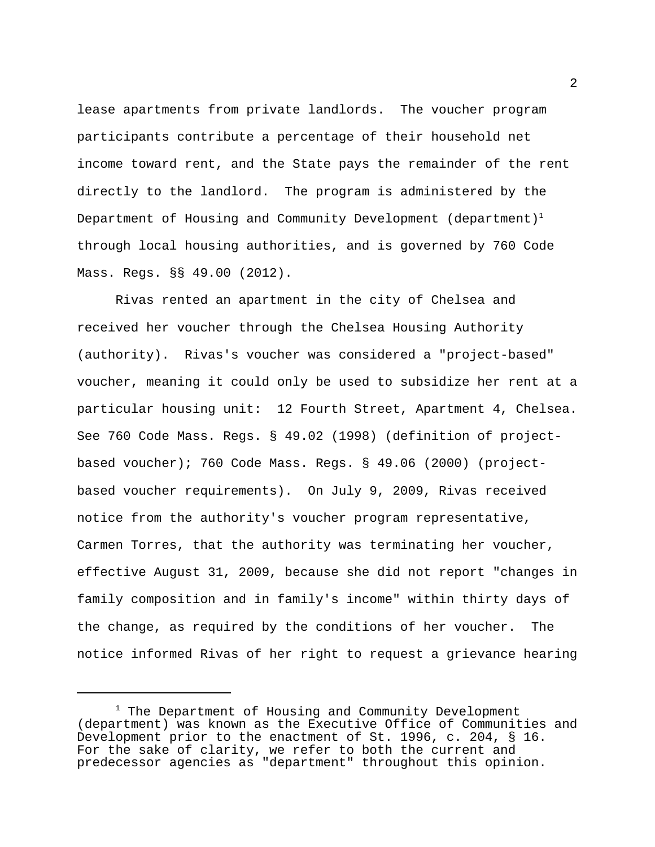lease apartments from private landlords. The voucher program participants contribute a percentage of their household net income toward rent, and the State pays the remainder of the rent directly to the landlord. The program is administered by the Department of Housing and Community Development (department)<sup>1</sup> through local housing authorities, and is governed by 760 Code Mass. Regs. §§ 49.00 (2012).

Rivas rented an apartment in the city of Chelsea and received her voucher through the Chelsea Housing Authority (authority). Rivas's voucher was considered a "project-based" voucher, meaning it could only be used to subsidize her rent at a particular housing unit: 12 Fourth Street, Apartment 4, Chelsea. See 760 Code Mass. Regs. § 49.02 (1998) (definition of projectbased voucher); 760 Code Mass. Regs. § 49.06 (2000) (projectbased voucher requirements). On July 9, 2009, Rivas received notice from the authority's voucher program representative, Carmen Torres, that the authority was terminating her voucher, effective August 31, 2009, because she did not report "changes in family composition and in family's income" within thirty days of the change, as required by the conditions of her voucher. The notice informed Rivas of her right to request a grievance hearing

2

 $1$  The Department of Housing and Community Development (department) was known as the Executive Office of Communities and Development prior to the enactment of St. 1996, c. 204, § 16. For the sake of clarity, we refer to both the current and predecessor agencies as "department" throughout this opinion.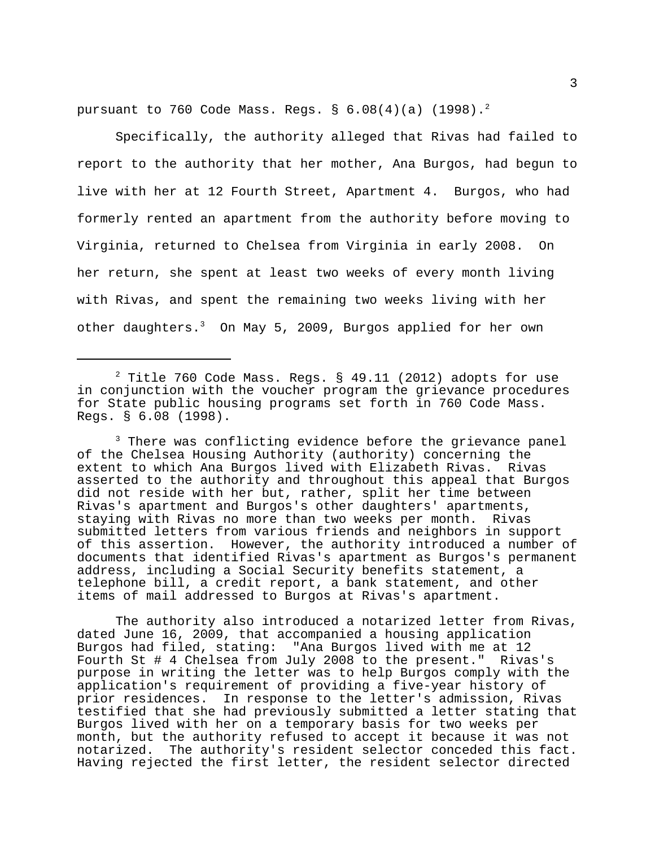pursuant to 760 Code Mass. Regs. §  $6.08(4)(a)$  (1998).<sup>2</sup>

Specifically, the authority alleged that Rivas had failed to report to the authority that her mother, Ana Burgos, had begun to live with her at 12 Fourth Street, Apartment 4. Burgos, who had formerly rented an apartment from the authority before moving to Virginia, returned to Chelsea from Virginia in early 2008. On her return, she spent at least two weeks of every month living with Rivas, and spent the remaining two weeks living with her other daughters.<sup>3</sup> On May 5, 2009, Burgos applied for her own

<sup>3</sup> There was conflicting evidence before the grievance panel of the Chelsea Housing Authority (authority) concerning the extent to which Ana Burgos lived with Elizabeth Rivas. Rivas asserted to the authority and throughout this appeal that Burgos did not reside with her but, rather, split her time between Rivas's apartment and Burgos's other daughters' apartments, staying with Rivas no more than two weeks per month. Rivas submitted letters from various friends and neighbors in support of this assertion. However, the authority introduced a number of documents that identified Rivas's apartment as Burgos's permanent address, including a Social Security benefits statement, a telephone bill, a credit report, a bank statement, and other items of mail addressed to Burgos at Rivas's apartment.

The authority also introduced a notarized letter from Rivas, dated June 16, 2009, that accompanied a housing application Burgos had filed, stating: "Ana Burgos lived with me at 12 Fourth St # 4 Chelsea from July 2008 to the present." Rivas's purpose in writing the letter was to help Burgos comply with the application's requirement of providing a five-year history of prior residences. In response to the letter's admission, Rivas testified that she had previously submitted a letter stating that Burgos lived with her on a temporary basis for two weeks per month, but the authority refused to accept it because it was not notarized. The authority's resident selector conceded this fact. Having rejected the first letter, the resident selector directed

 $2$  Title 760 Code Mass. Regs. § 49.11 (2012) adopts for use in conjunction with the voucher program the grievance procedures for State public housing programs set forth in 760 Code Mass. Regs. § 6.08 (1998).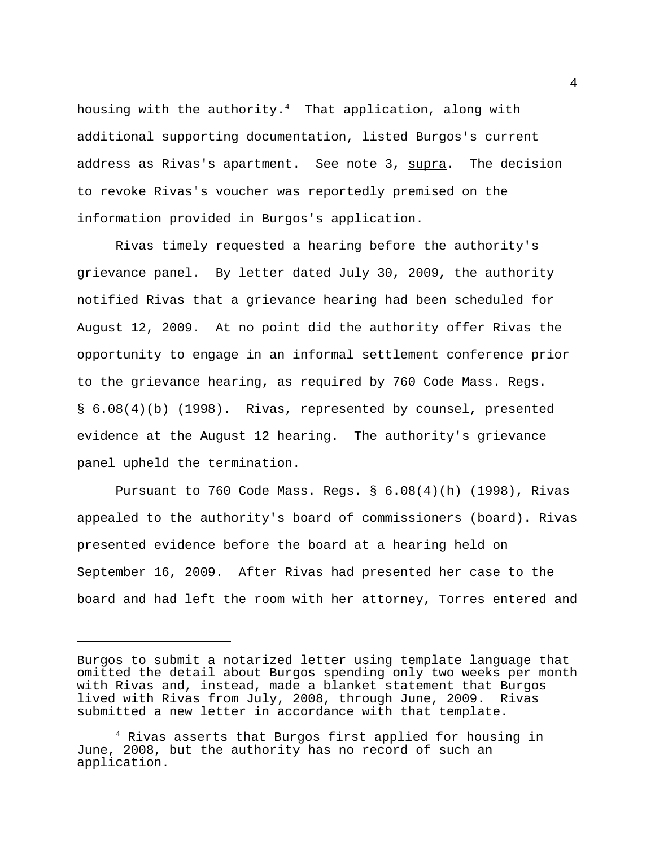housing with the authority. $4$  That application, along with additional supporting documentation, listed Burgos's current address as Rivas's apartment. See note 3, supra. The decision to revoke Rivas's voucher was reportedly premised on the information provided in Burgos's application.

Rivas timely requested a hearing before the authority's grievance panel. By letter dated July 30, 2009, the authority notified Rivas that a grievance hearing had been scheduled for August 12, 2009. At no point did the authority offer Rivas the opportunity to engage in an informal settlement conference prior to the grievance hearing, as required by 760 Code Mass. Regs. § 6.08(4)(b) (1998). Rivas, represented by counsel, presented evidence at the August 12 hearing. The authority's grievance panel upheld the termination.

Pursuant to 760 Code Mass. Regs. § 6.08(4)(h) (1998), Rivas appealed to the authority's board of commissioners (board). Rivas presented evidence before the board at a hearing held on September 16, 2009. After Rivas had presented her case to the board and had left the room with her attorney, Torres entered and

Burgos to submit a notarized letter using template language that omitted the detail about Burgos spending only two weeks per month with Rivas and, instead, made a blanket statement that Burgos lived with Rivas from July, 2008, through June, 2009. Rivas submitted a new letter in accordance with that template.

 <sup>4</sup> Rivas asserts that Burgos first applied for housing in June, 2008, but the authority has no record of such an application.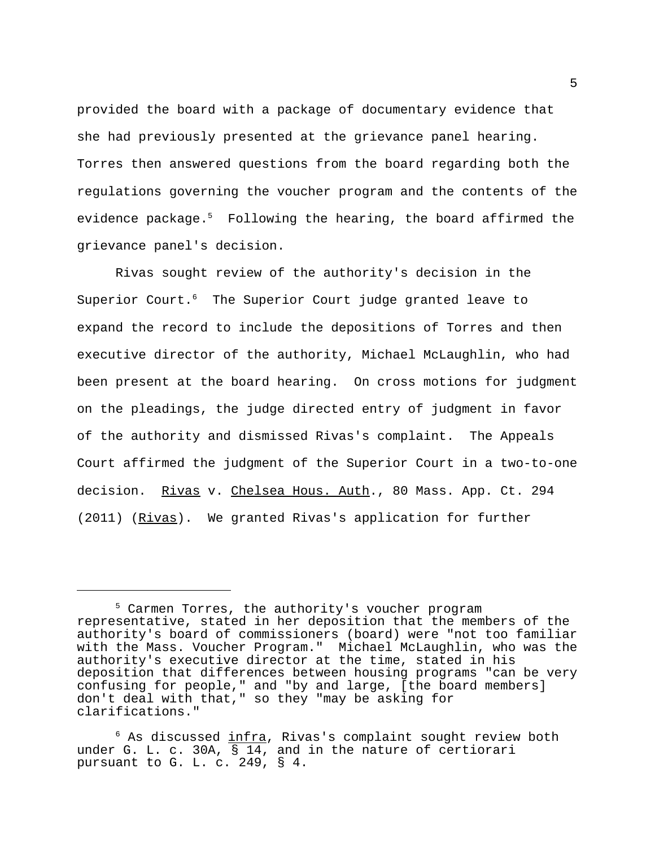provided the board with a package of documentary evidence that she had previously presented at the grievance panel hearing. Torres then answered questions from the board regarding both the regulations governing the voucher program and the contents of the evidence package.<sup>5</sup> Following the hearing, the board affirmed the grievance panel's decision.

Rivas sought review of the authority's decision in the Superior Court.<sup>6</sup> The Superior Court judge granted leave to expand the record to include the depositions of Torres and then executive director of the authority, Michael McLaughlin, who had been present at the board hearing. On cross motions for judgment on the pleadings, the judge directed entry of judgment in favor of the authority and dismissed Rivas's complaint. The Appeals Court affirmed the judgment of the Superior Court in a two-to-one decision. Rivas v. Chelsea Hous. Auth., 80 Mass. App. Ct. 294 (2011) (Rivas). We granted Rivas's application for further

<sup>&</sup>lt;sup>5</sup> Carmen Torres, the authority's voucher program representative, stated in her deposition that the members of the authority's board of commissioners (board) were "not too familiar with the Mass. Voucher Program." Michael McLaughlin, who was the authority's executive director at the time, stated in his deposition that differences between housing programs "can be very confusing for people," and "by and large, [the board members] don't deal with that," so they "may be asking for clarifications."

 $6$  As discussed  $infra$ , Rivas's complaint sought review both under G. L. c. 30A, § 14, and in the nature of certiorari pursuant to G. L. c. 249, § 4.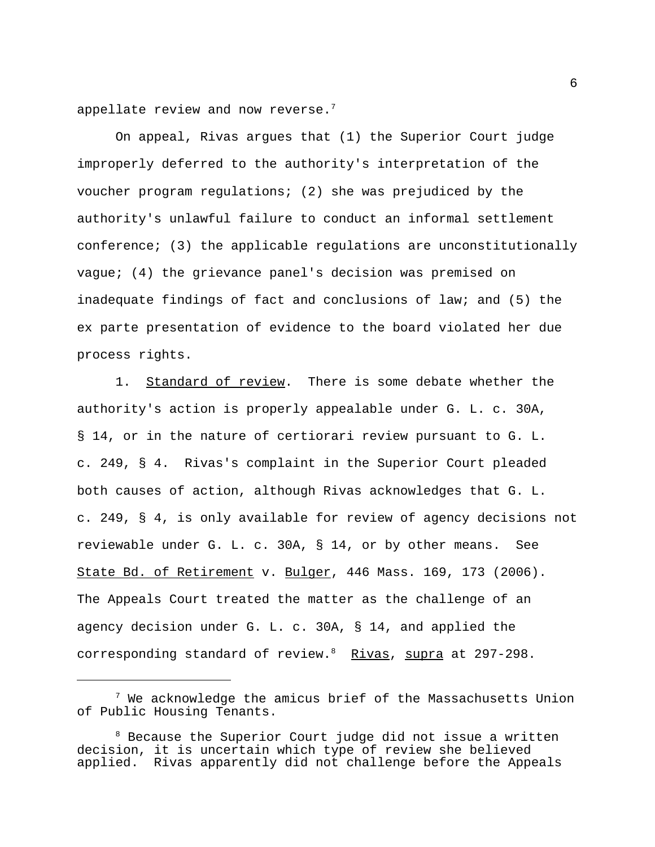appellate review and now reverse. $<sup>7</sup>$ </sup>

On appeal, Rivas argues that (1) the Superior Court judge improperly deferred to the authority's interpretation of the voucher program regulations; (2) she was prejudiced by the authority's unlawful failure to conduct an informal settlement conference; (3) the applicable regulations are unconstitutionally vague; (4) the grievance panel's decision was premised on inadequate findings of fact and conclusions of law; and (5) the ex parte presentation of evidence to the board violated her due process rights.

1. Standard of review. There is some debate whether the authority's action is properly appealable under G. L. c. 30A, § 14, or in the nature of certiorari review pursuant to G. L. c. 249, § 4. Rivas's complaint in the Superior Court pleaded both causes of action, although Rivas acknowledges that G. L. c. 249, § 4, is only available for review of agency decisions not reviewable under G. L. c. 30A, § 14, or by other means. See State Bd. of Retirement v. Bulger, 446 Mass. 169, 173 (2006). The Appeals Court treated the matter as the challenge of an agency decision under G. L. c. 30A, § 14, and applied the corresponding standard of review.<sup>8</sup> Rivas, supra at 297-298.

 $^7$  We acknowledge the amicus brief of the Massachusetts Union of Public Housing Tenants.

 <sup>8</sup> Because the Superior Court judge did not issue a written decision, it is uncertain which type of review she believed applied. Rivas apparently did not challenge before the Appeals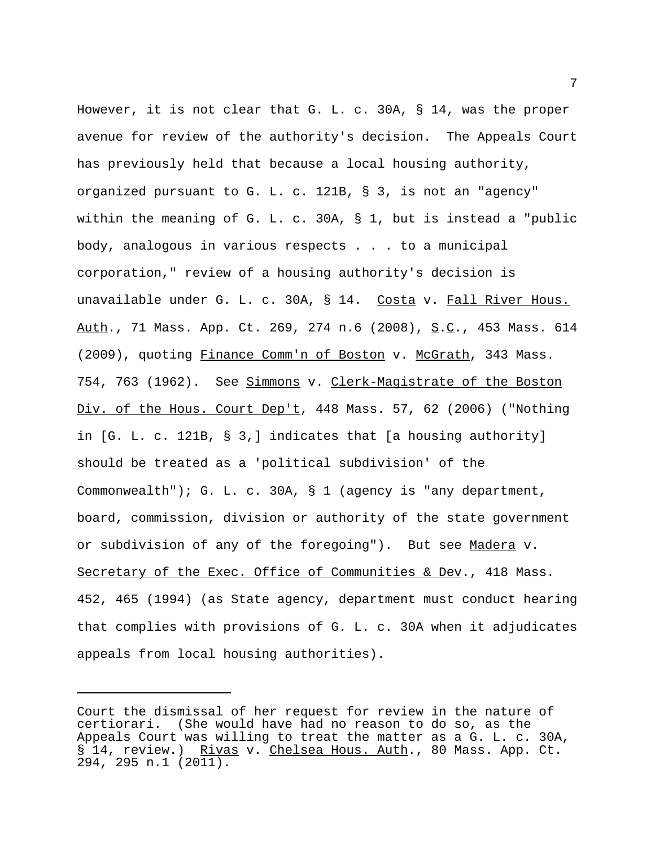However, it is not clear that G. L. c. 30A, § 14, was the proper avenue for review of the authority's decision. The Appeals Court has previously held that because a local housing authority, organized pursuant to G. L. c. 121B, § 3, is not an "agency" within the meaning of G. L. c. 30A, § 1, but is instead a "public body, analogous in various respects . . . to a municipal corporation," review of a housing authority's decision is unavailable under G. L. c. 30A, § 14. Costa v. Fall River Hous. Auth., 71 Mass. App. Ct. 269, 274 n.6 (2008), S.C., 453 Mass. 614 (2009), quoting Finance Comm'n of Boston v. McGrath, 343 Mass. 754, 763 (1962). See Simmons v. Clerk-Magistrate of the Boston Div. of the Hous. Court Dep't, 448 Mass. 57, 62 (2006) ("Nothing in [G. L. c. 121B, § 3,] indicates that [a housing authority] should be treated as a 'political subdivision' of the Commonwealth"); G. L. c. 30A, § 1 (agency is "any department, board, commission, division or authority of the state government or subdivision of any of the foregoing"). But see Madera v. Secretary of the Exec. Office of Communities & Dev., 418 Mass. 452, 465 (1994) (as State agency, department must conduct hearing that complies with provisions of G. L. c. 30A when it adjudicates appeals from local housing authorities).

Court the dismissal of her request for review in the nature of certiorari. (She would have had no reason to do so, as the Appeals Court was willing to treat the matter as a G. L. c. 30A, § 14, review.) Rivas v. Chelsea Hous. Auth., 80 Mass. App. Ct. 294, 295 n.1 (2011).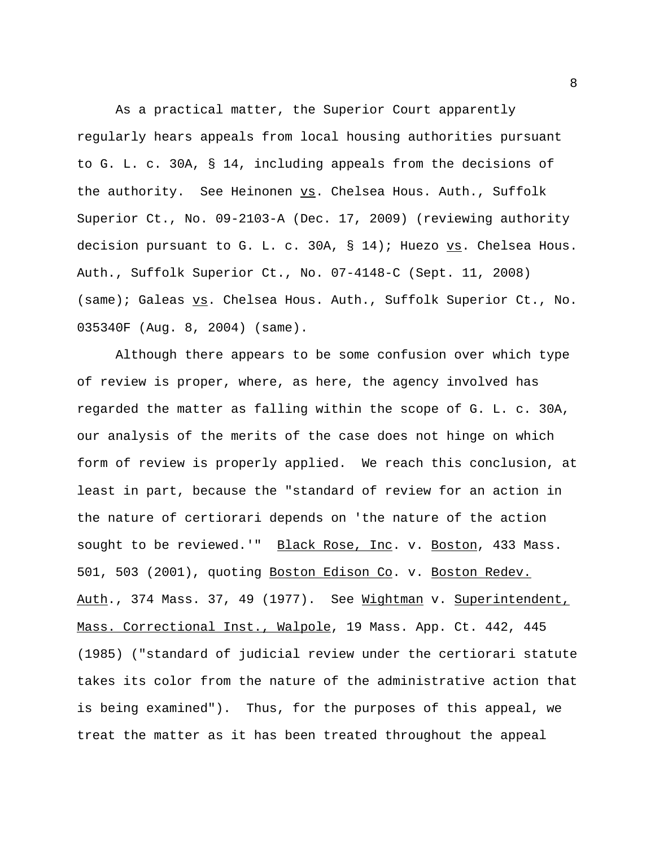As a practical matter, the Superior Court apparently regularly hears appeals from local housing authorities pursuant to G. L. c. 30A, § 14, including appeals from the decisions of the authority. See Heinonen vs. Chelsea Hous. Auth., Suffolk Superior Ct., No. 09-2103-A (Dec. 17, 2009) (reviewing authority decision pursuant to G. L. c. 30A, § 14); Huezo vs. Chelsea Hous. Auth., Suffolk Superior Ct., No. 07-4148-C (Sept. 11, 2008) (same); Galeas vs. Chelsea Hous. Auth., Suffolk Superior Ct., No. 035340F (Aug. 8, 2004) (same).

Although there appears to be some confusion over which type of review is proper, where, as here, the agency involved has regarded the matter as falling within the scope of G. L. c. 30A, our analysis of the merits of the case does not hinge on which form of review is properly applied. We reach this conclusion, at least in part, because the "standard of review for an action in the nature of certiorari depends on 'the nature of the action sought to be reviewed.'" Black Rose, Inc. v. Boston, 433 Mass. 501, 503 (2001), quoting Boston Edison Co. v. Boston Redev. Auth., 374 Mass. 37, 49 (1977). See Wightman v. Superintendent, Mass. Correctional Inst., Walpole, 19 Mass. App. Ct. 442, 445 (1985) ("standard of judicial review under the certiorari statute takes its color from the nature of the administrative action that is being examined"). Thus, for the purposes of this appeal, we treat the matter as it has been treated throughout the appeal

8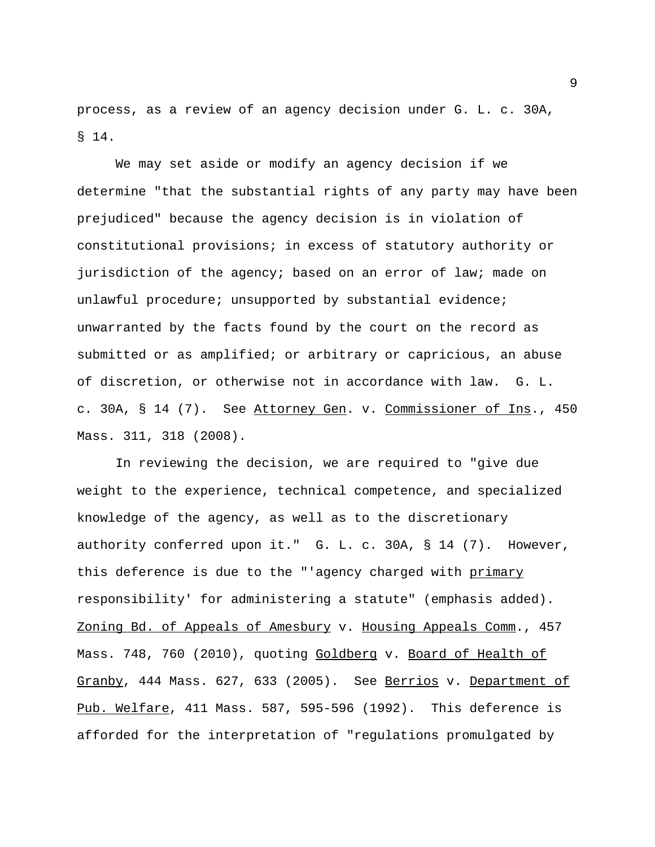process, as a review of an agency decision under G. L. c. 30A, § 14.

We may set aside or modify an agency decision if we determine "that the substantial rights of any party may have been prejudiced" because the agency decision is in violation of constitutional provisions; in excess of statutory authority or jurisdiction of the agency; based on an error of law; made on unlawful procedure; unsupported by substantial evidence; unwarranted by the facts found by the court on the record as submitted or as amplified; or arbitrary or capricious, an abuse of discretion, or otherwise not in accordance with law. G. L. c. 30A, § 14 (7). See Attorney Gen. v. Commissioner of Ins., 450 Mass. 311, 318 (2008).

In reviewing the decision, we are required to "give due weight to the experience, technical competence, and specialized knowledge of the agency, as well as to the discretionary authority conferred upon it." G. L. c. 30A, § 14 (7). However, this deference is due to the "'agency charged with primary responsibility' for administering a statute" (emphasis added). Zoning Bd. of Appeals of Amesbury v. Housing Appeals Comm., 457 Mass. 748, 760 (2010), quoting Goldberg v. Board of Health of Granby, 444 Mass. 627, 633 (2005). See Berrios v. Department of Pub. Welfare, 411 Mass. 587, 595-596 (1992). This deference is afforded for the interpretation of "regulations promulgated by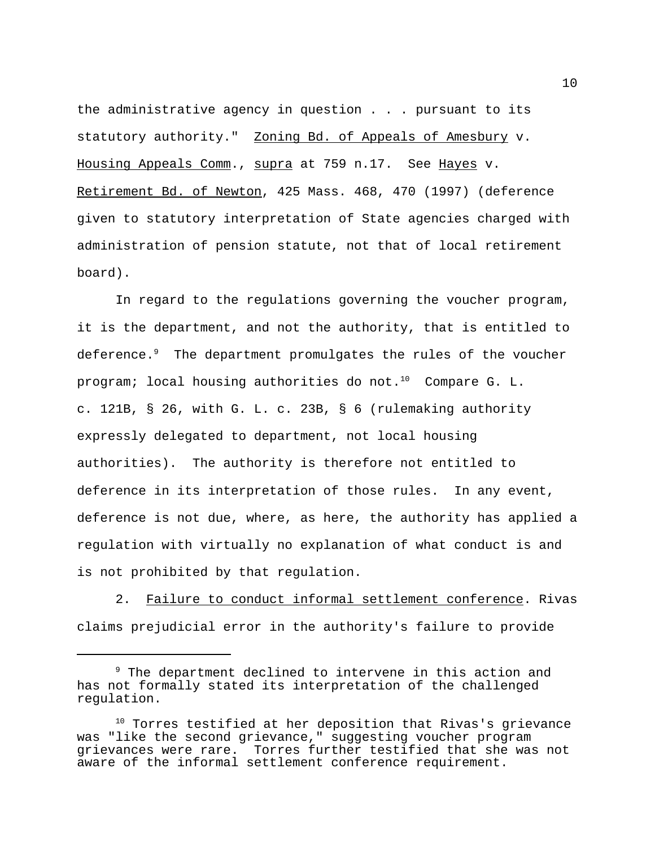the administrative agency in question . . . pursuant to its statutory authority." Zoning Bd. of Appeals of Amesbury v. Housing Appeals Comm., supra at 759 n.17. See Hayes v. Retirement Bd. of Newton, 425 Mass. 468, 470 (1997) (deference given to statutory interpretation of State agencies charged with administration of pension statute, not that of local retirement board).

In regard to the regulations governing the voucher program, it is the department, and not the authority, that is entitled to deference.<sup>9</sup> The department promulgates the rules of the voucher program; local housing authorities do not.<sup>10</sup> Compare G. L. c. 121B, § 26, with G. L. c. 23B, § 6 (rulemaking authority expressly delegated to department, not local housing authorities). The authority is therefore not entitled to deference in its interpretation of those rules. In any event, deference is not due, where, as here, the authority has applied a regulation with virtually no explanation of what conduct is and is not prohibited by that regulation.

2. Failure to conduct informal settlement conference. Rivas claims prejudicial error in the authority's failure to provide

<sup>&</sup>lt;sup>9</sup> The department declined to intervene in this action and has not formally stated its interpretation of the challenged regulation.

<sup>&</sup>lt;sup>10</sup> Torres testified at her deposition that Rivas's grievance was "like the second grievance," suggesting voucher program grievances were rare. Torres further testified that she was not aware of the informal settlement conference requirement.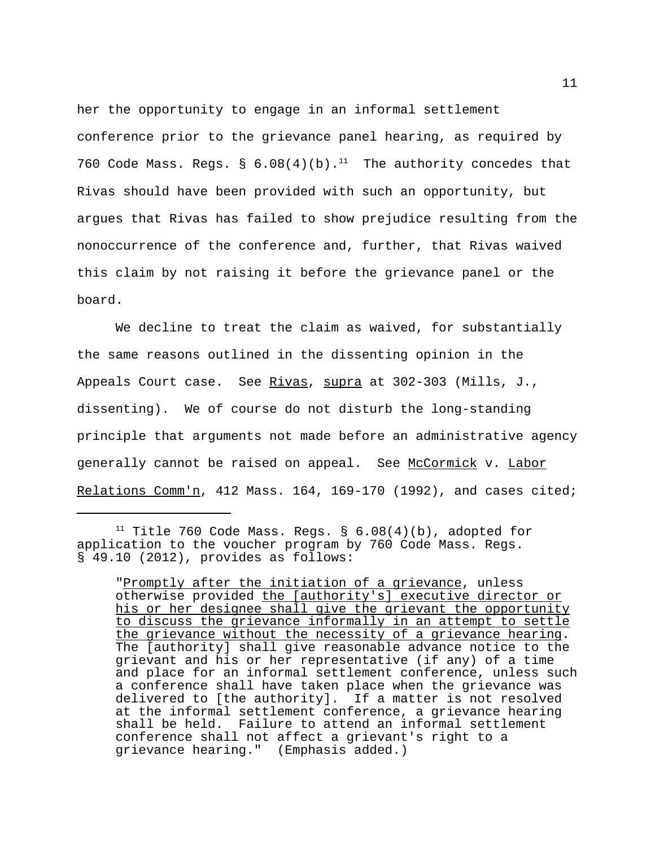her the opportunity to engage in an informal settlement conference prior to the grievance panel hearing, as required by 760 Code Mass. Regs. §  $6.08(4)(b).$ <sup>11</sup> The authority concedes that Rivas should have been provided with such an opportunity, but argues that Rivas has failed to show prejudice resulting from the nonoccurrence of the conference and, further, that Rivas waived this claim by not raising it before the grievance panel or the board.

We decline to treat the claim as waived, for substantially the same reasons outlined in the dissenting opinion in the Appeals Court case. See Rivas, supra at 302-303 (Mills, J., dissenting). We of course do not disturb the long-standing principle that arguments not made before an administrative agency generally cannot be raised on appeal. See McCormick v. Labor Relations Comm'n, 412 Mass. 164, 169-170 (1992), and cases cited;

<sup>&</sup>lt;sup>11</sup> Title 760 Code Mass. Regs. §  $6.08(4)(b)$ , adopted for application to the voucher program by 760 Code Mass. Regs. § 49.10 (2012), provides as follows:

<sup>&</sup>quot;Promptly after the initiation of a grievance, unless otherwise provided the [authority's] executive director or his or her designee shall give the grievant the opportunity to discuss the grievance informally in an attempt to settle the grievance without the necessity of a grievance hearing. The [authority] shall give reasonable advance notice to the grievant and his or her representative (if any) of a time and place for an informal settlement conference, unless such a conference shall have taken place when the grievance was delivered to [the authority]. If a matter is not resolved at the informal settlement conference, a grievance hearing shall be held. Failure to attend an informal settlement conference shall not affect a grievant's right to a grievance hearing." (Emphasis added.)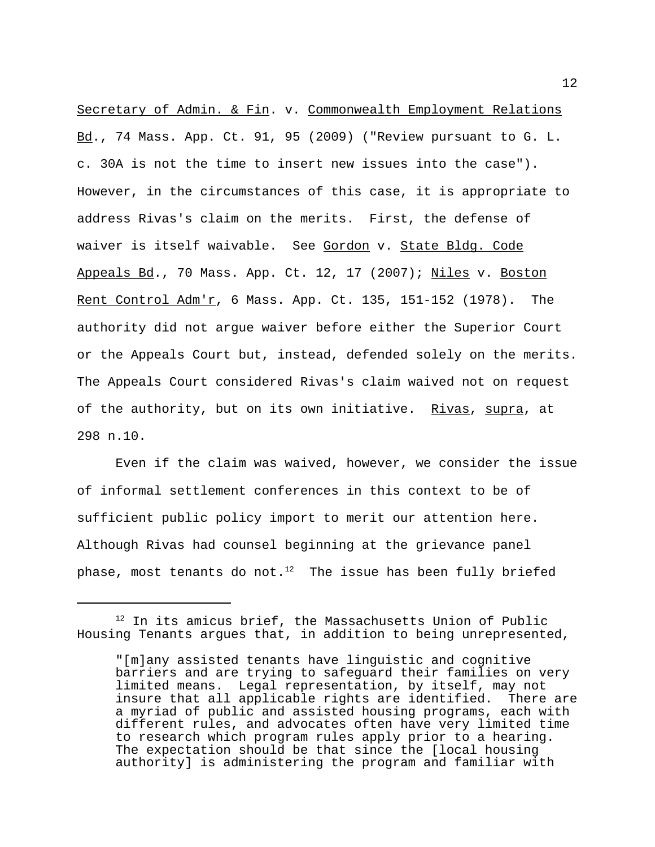Secretary of Admin. & Fin. v. Commonwealth Employment Relations Bd., 74 Mass. App. Ct. 91, 95 (2009) ("Review pursuant to G. L. c. 30A is not the time to insert new issues into the case"). However, in the circumstances of this case, it is appropriate to address Rivas's claim on the merits. First, the defense of waiver is itself waivable. See Gordon v. State Bldg. Code Appeals Bd., 70 Mass. App. Ct. 12, 17 (2007); Niles v. Boston Rent Control Adm'r, 6 Mass. App. Ct. 135, 151-152 (1978). The authority did not argue waiver before either the Superior Court or the Appeals Court but, instead, defended solely on the merits. The Appeals Court considered Rivas's claim waived not on request of the authority, but on its own initiative. Rivas, supra, at 298 n.10.

Even if the claim was waived, however, we consider the issue of informal settlement conferences in this context to be of sufficient public policy import to merit our attention here. Although Rivas had counsel beginning at the grievance panel phase, most tenants do not. $12$  The issue has been fully briefed

 $12$  In its amicus brief, the Massachusetts Union of Public Housing Tenants argues that, in addition to being unrepresented,

<sup>&</sup>quot;[m]any assisted tenants have linguistic and cognitive barriers and are trying to safeguard their families on very limited means. Legal representation, by itself, may not insure that all applicable rights are identified. There are a myriad of public and assisted housing programs, each with different rules, and advocates often have very limited time to research which program rules apply prior to a hearing. The expectation should be that since the [local housing authority] is administering the program and familiar with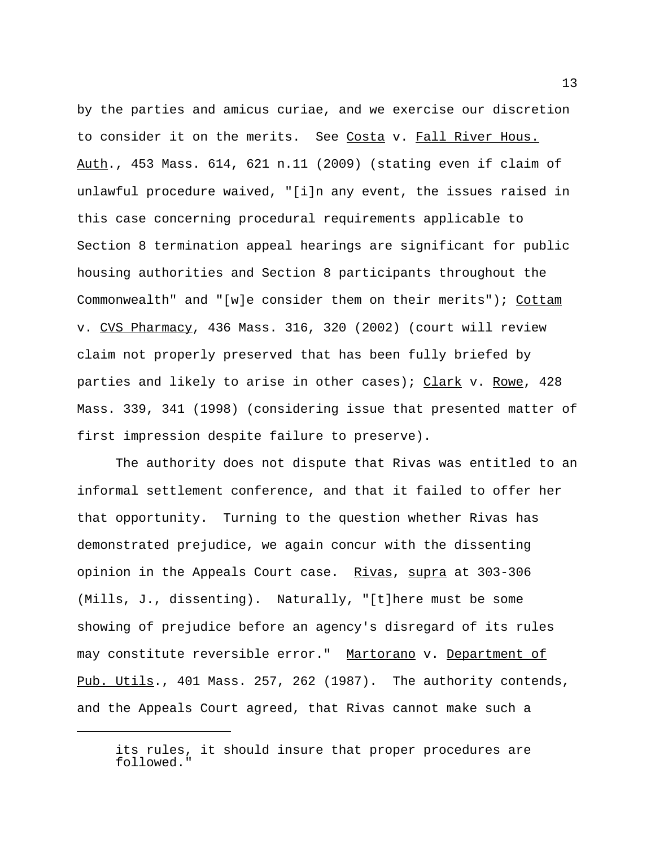by the parties and amicus curiae, and we exercise our discretion to consider it on the merits. See Costa v. Fall River Hous. Auth., 453 Mass. 614, 621 n.11 (2009) (stating even if claim of unlawful procedure waived, "[i]n any event, the issues raised in this case concerning procedural requirements applicable to Section 8 termination appeal hearings are significant for public housing authorities and Section 8 participants throughout the Commonwealth" and "[w]e consider them on their merits"); Cottam v. CVS Pharmacy, 436 Mass. 316, 320 (2002) (court will review claim not properly preserved that has been fully briefed by parties and likely to arise in other cases); Clark v. Rowe, 428 Mass. 339, 341 (1998) (considering issue that presented matter of first impression despite failure to preserve).

The authority does not dispute that Rivas was entitled to an informal settlement conference, and that it failed to offer her that opportunity. Turning to the question whether Rivas has demonstrated prejudice, we again concur with the dissenting opinion in the Appeals Court case. Rivas, supra at 303-306 (Mills, J., dissenting). Naturally, "[t]here must be some showing of prejudice before an agency's disregard of its rules may constitute reversible error." Martorano v. Department of Pub. Utils., 401 Mass. 257, 262 (1987). The authority contends, and the Appeals Court agreed, that Rivas cannot make such a

its rules, it should insure that proper procedures are followed."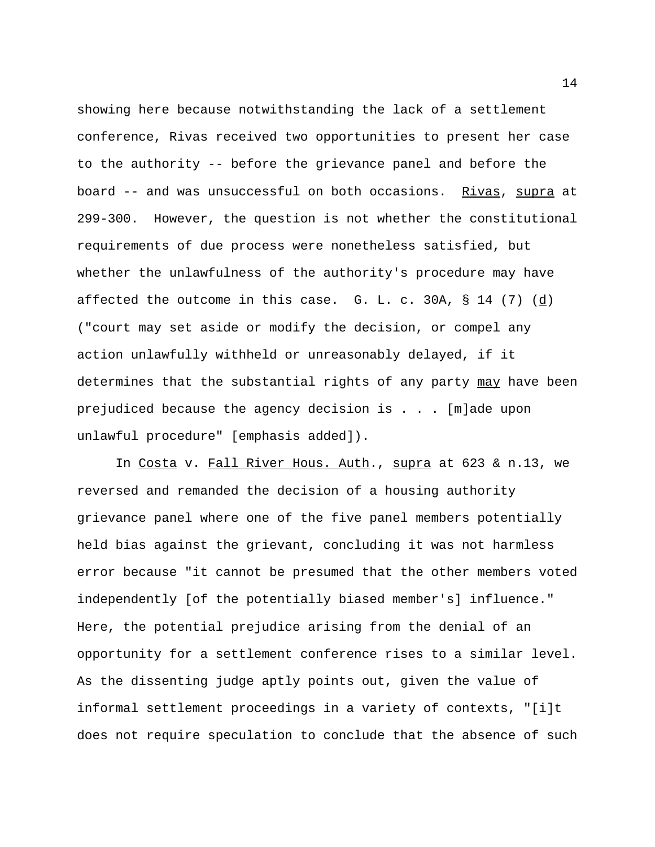showing here because notwithstanding the lack of a settlement conference, Rivas received two opportunities to present her case to the authority -- before the grievance panel and before the board -- and was unsuccessful on both occasions. Rivas, supra at 299-300. However, the question is not whether the constitutional requirements of due process were nonetheless satisfied, but whether the unlawfulness of the authority's procedure may have affected the outcome in this case. G. L. c. 30A, § 14 (7) (d) ("court may set aside or modify the decision, or compel any action unlawfully withheld or unreasonably delayed, if it determines that the substantial rights of any party may have been prejudiced because the agency decision is . . . [m]ade upon unlawful procedure" [emphasis added]).

In Costa v. Fall River Hous. Auth., supra at 623 & n.13, we reversed and remanded the decision of a housing authority grievance panel where one of the five panel members potentially held bias against the grievant, concluding it was not harmless error because "it cannot be presumed that the other members voted independently [of the potentially biased member's] influence." Here, the potential prejudice arising from the denial of an opportunity for a settlement conference rises to a similar level. As the dissenting judge aptly points out, given the value of informal settlement proceedings in a variety of contexts, "[i]t does not require speculation to conclude that the absence of such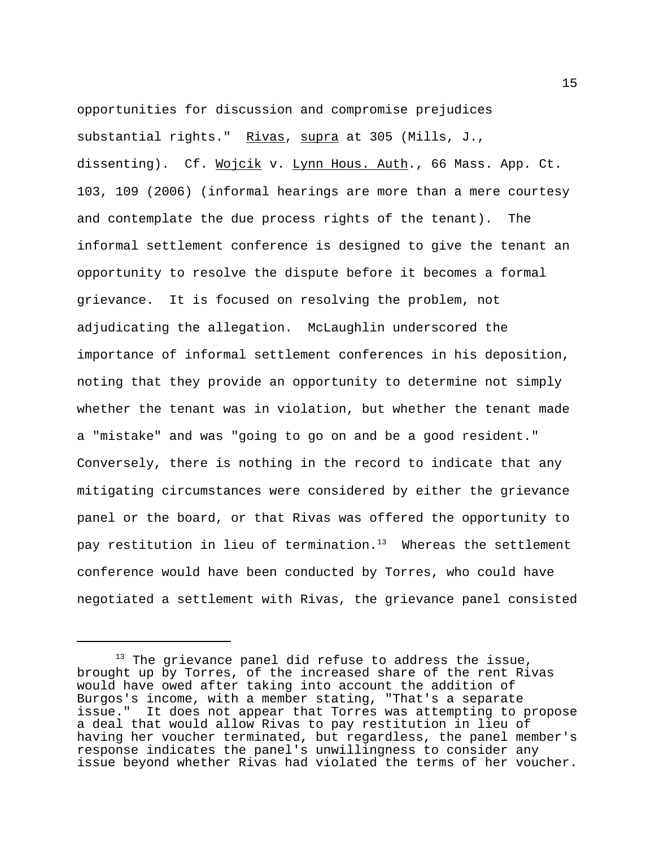opportunities for discussion and compromise prejudices substantial rights." Rivas, supra at 305 (Mills, J., dissenting). Cf. Wojcik v. Lynn Hous. Auth., 66 Mass. App. Ct. 103, 109 (2006) (informal hearings are more than a mere courtesy and contemplate the due process rights of the tenant). The informal settlement conference is designed to give the tenant an opportunity to resolve the dispute before it becomes a formal grievance. It is focused on resolving the problem, not adjudicating the allegation. McLaughlin underscored the importance of informal settlement conferences in his deposition, noting that they provide an opportunity to determine not simply whether the tenant was in violation, but whether the tenant made a "mistake" and was "going to go on and be a good resident." Conversely, there is nothing in the record to indicate that any mitigating circumstances were considered by either the grievance panel or the board, or that Rivas was offered the opportunity to pay restitution in lieu of termination.<sup>13</sup> Whereas the settlement conference would have been conducted by Torres, who could have negotiated a settlement with Rivas, the grievance panel consisted

 $13$  The grievance panel did refuse to address the issue, brought up by Torres, of the increased share of the rent Rivas would have owed after taking into account the addition of Burgos's income, with a member stating, "That's a separate issue." It does not appear that Torres was attempting to propose a deal that would allow Rivas to pay restitution in lieu of having her voucher terminated, but regardless, the panel member's response indicates the panel's unwillingness to consider any issue beyond whether Rivas had violated the terms of her voucher.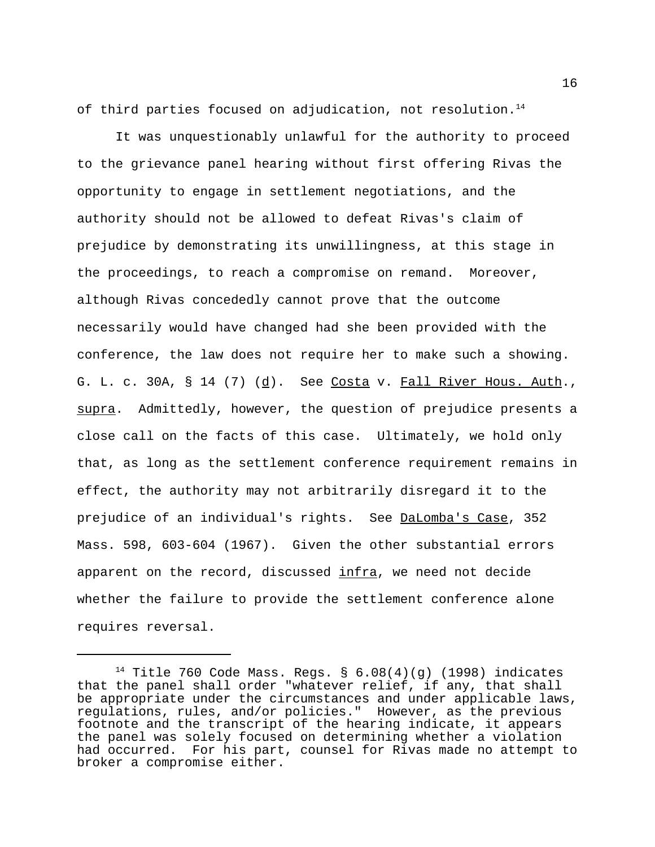of third parties focused on adjudication, not resolution.<sup>14</sup>

It was unquestionably unlawful for the authority to proceed to the grievance panel hearing without first offering Rivas the opportunity to engage in settlement negotiations, and the authority should not be allowed to defeat Rivas's claim of prejudice by demonstrating its unwillingness, at this stage in the proceedings, to reach a compromise on remand. Moreover, although Rivas concededly cannot prove that the outcome necessarily would have changed had she been provided with the conference, the law does not require her to make such a showing. G. L. c. 30A,  $\S$  14 (7) ( $\underline{d}$ ). See Costa v. Fall River Hous. Auth., supra. Admittedly, however, the question of prejudice presents a close call on the facts of this case. Ultimately, we hold only that, as long as the settlement conference requirement remains in effect, the authority may not arbitrarily disregard it to the prejudice of an individual's rights. See DaLomba's Case, 352 Mass. 598, 603-604 (1967). Given the other substantial errors apparent on the record, discussed infra, we need not decide whether the failure to provide the settlement conference alone requires reversal.

16

 $14$  Title 760 Code Mass. Regs. § 6.08(4)(g) (1998) indicates that the panel shall order "whatever relief, if any, that shall be appropriate under the circumstances and under applicable laws, regulations, rules, and/or policies." However, as the previous footnote and the transcript of the hearing indicate, it appears the panel was solely focused on determining whether a violation had occurred. For his part, counsel for Rivas made no attempt to broker a compromise either.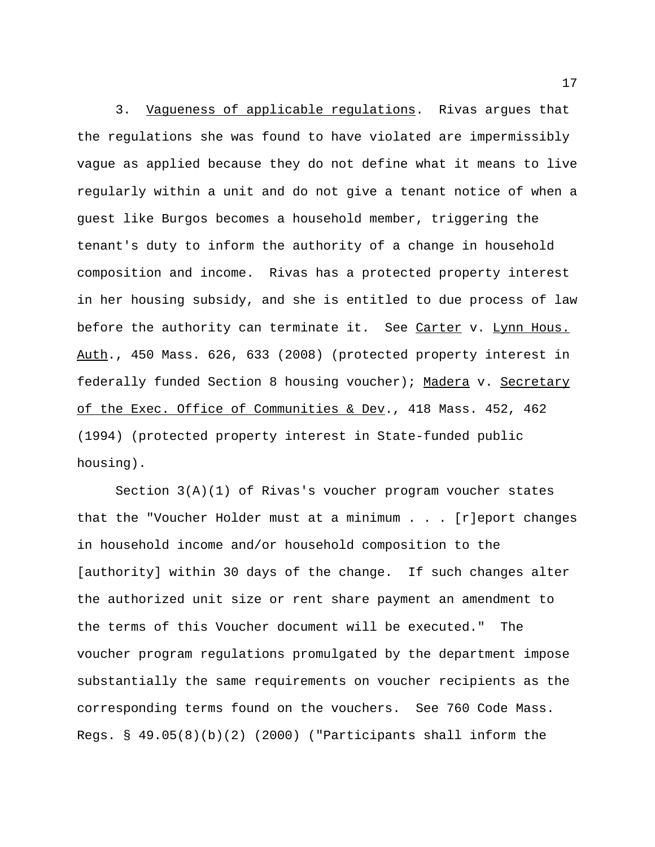3. Vagueness of applicable regulations. Rivas argues that the regulations she was found to have violated are impermissibly vague as applied because they do not define what it means to live regularly within a unit and do not give a tenant notice of when a guest like Burgos becomes a household member, triggering the tenant's duty to inform the authority of a change in household composition and income. Rivas has a protected property interest in her housing subsidy, and she is entitled to due process of law before the authority can terminate it. See Carter v. Lynn Hous. Auth., 450 Mass. 626, 633 (2008) (protected property interest in federally funded Section 8 housing voucher); Madera v. Secretary of the Exec. Office of Communities & Dev., 418 Mass. 452, 462 (1994) (protected property interest in State-funded public housing).

Section 3(A)(1) of Rivas's voucher program voucher states that the "Voucher Holder must at a minimum . . . [r]eport changes in household income and/or household composition to the [authority] within 30 days of the change. If such changes alter the authorized unit size or rent share payment an amendment to the terms of this Voucher document will be executed." The voucher program regulations promulgated by the department impose substantially the same requirements on voucher recipients as the corresponding terms found on the vouchers. See 760 Code Mass. Regs. § 49.05(8)(b)(2) (2000) ("Participants shall inform the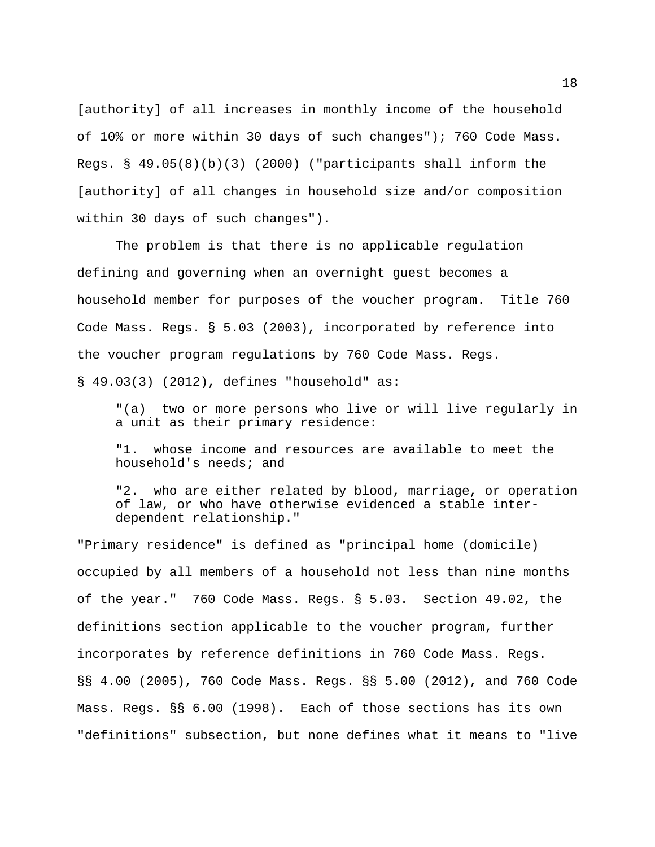[authority] of all increases in monthly income of the household of 10% or more within 30 days of such changes"); 760 Code Mass. Regs. § 49.05(8)(b)(3) (2000) ("participants shall inform the [authority] of all changes in household size and/or composition within 30 days of such changes").

The problem is that there is no applicable regulation defining and governing when an overnight guest becomes a household member for purposes of the voucher program. Title 760 Code Mass. Regs. § 5.03 (2003), incorporated by reference into the voucher program regulations by 760 Code Mass. Regs. § 49.03(3) (2012), defines "household" as:

"(a) two or more persons who live or will live regularly in a unit as their primary residence:

"1. whose income and resources are available to meet the household's needs; and

"2. who are either related by blood, marriage, or operation of law, or who have otherwise evidenced a stable interdependent relationship."

"Primary residence" is defined as "principal home (domicile) occupied by all members of a household not less than nine months of the year." 760 Code Mass. Regs. § 5.03. Section 49.02, the definitions section applicable to the voucher program, further incorporates by reference definitions in 760 Code Mass. Regs. §§ 4.00 (2005), 760 Code Mass. Regs. §§ 5.00 (2012), and 760 Code Mass. Regs. §§ 6.00 (1998). Each of those sections has its own "definitions" subsection, but none defines what it means to "live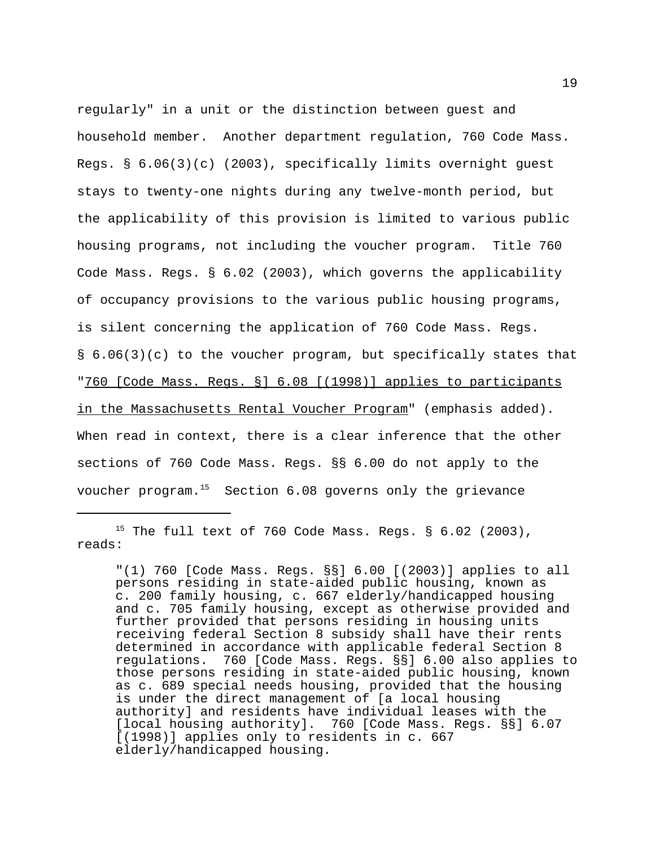regularly" in a unit or the distinction between guest and household member. Another department regulation, 760 Code Mass. Regs. § 6.06(3)(c) (2003), specifically limits overnight guest stays to twenty-one nights during any twelve-month period, but the applicability of this provision is limited to various public housing programs, not including the voucher program. Title 760 Code Mass. Regs. § 6.02 (2003), which governs the applicability of occupancy provisions to the various public housing programs, is silent concerning the application of 760 Code Mass. Regs. § 6.06(3)(c) to the voucher program, but specifically states that "760 [Code Mass. Regs. §] 6.08 [(1998)] applies to participants in the Massachusetts Rental Voucher Program" (emphasis added). When read in context, there is a clear inference that the other sections of 760 Code Mass. Regs. §§ 6.00 do not apply to the voucher program. $15$  Section 6.08 governs only the grievance

 $15$  The full text of 760 Code Mass. Reqs. § 6.02 (2003), reads:

"(1) 760 [Code Mass. Regs. §§] 6.00 [(2003)] applies to all persons residing in state-aided public housing, known as c. 200 family housing, c. 667 elderly/handicapped housing and c. 705 family housing, except as otherwise provided and further provided that persons residing in housing units receiving federal Section 8 subsidy shall have their rents determined in accordance with applicable federal Section 8 regulations. 760 [Code Mass. Regs. §§] 6.00 also applies to those persons residing in state-aided public housing, known as c. 689 special needs housing, provided that the housing is under the direct management of [a local housing authority] and residents have individual leases with the [local housing authority]. 760 [Code Mass. Regs. §§] 6.07 [(1998)] applies only to residents in c. 667 elderly/handicapped housing.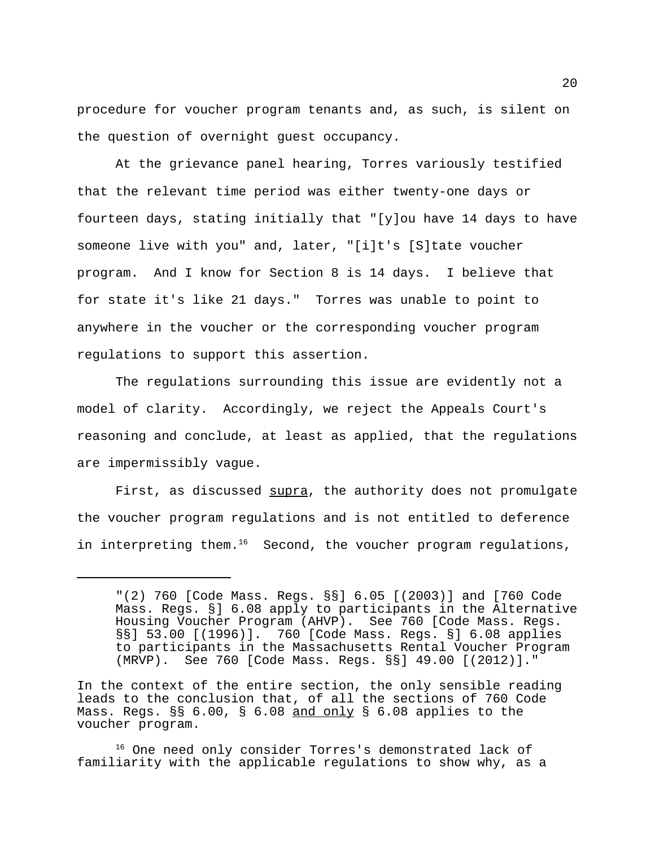procedure for voucher program tenants and, as such, is silent on the question of overnight guest occupancy.

At the grievance panel hearing, Torres variously testified that the relevant time period was either twenty-one days or fourteen days, stating initially that "[y]ou have 14 days to have someone live with you" and, later, "[i]t's [S]tate voucher program. And I know for Section 8 is 14 days. I believe that for state it's like 21 days." Torres was unable to point to anywhere in the voucher or the corresponding voucher program regulations to support this assertion.

The regulations surrounding this issue are evidently not a model of clarity. Accordingly, we reject the Appeals Court's reasoning and conclude, at least as applied, that the regulations are impermissibly vague.

First, as discussed supra, the authority does not promulgate the voucher program regulations and is not entitled to deference in interpreting them. $16$  Second, the voucher program regulations,

<sup>&</sup>quot;(2) 760 [Code Mass. Regs. §§] 6.05 [(2003)] and [760 Code Mass. Regs. §] 6.08 apply to participants in the Alternative Housing Voucher Program (AHVP). See 760 [Code Mass. Regs. §§] 53.00 [(1996)]. 760 [Code Mass. Regs. §] 6.08 applies to participants in the Massachusetts Rental Voucher Program (MRVP). See 760 [Code Mass. Regs. §§] 49.00 [(2012)]."

In the context of the entire section, the only sensible reading leads to the conclusion that, of all the sections of 760 Code Mass. Regs. §§ 6.00, § 6.08 and only § 6.08 applies to the voucher program.

<sup>&</sup>lt;sup>16</sup> One need only consider Torres's demonstrated lack of familiarity with the applicable regulations to show why, as a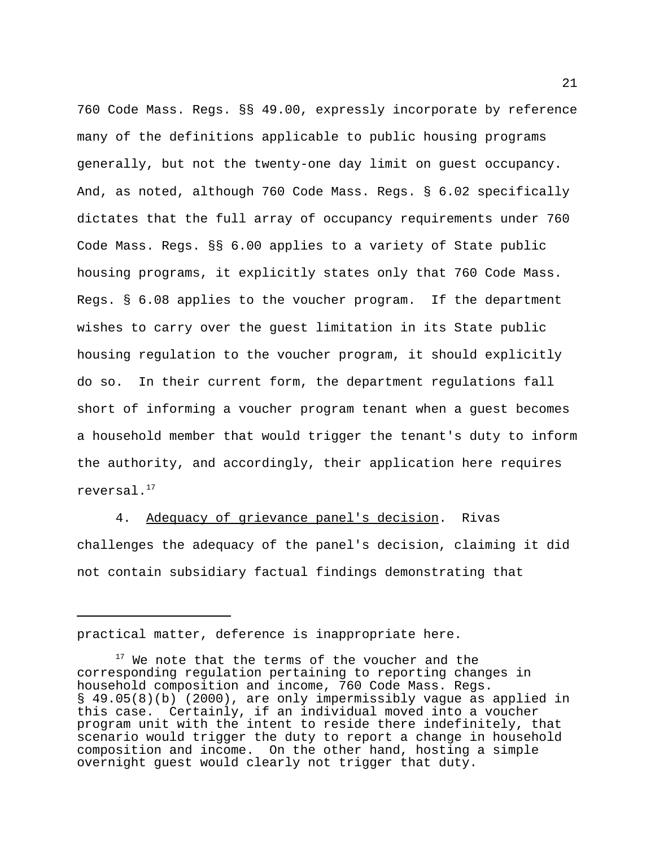760 Code Mass. Regs. §§ 49.00, expressly incorporate by reference many of the definitions applicable to public housing programs generally, but not the twenty-one day limit on guest occupancy. And, as noted, although 760 Code Mass. Regs. § 6.02 specifically dictates that the full array of occupancy requirements under 760 Code Mass. Regs. §§ 6.00 applies to a variety of State public housing programs, it explicitly states only that 760 Code Mass. Regs. § 6.08 applies to the voucher program. If the department wishes to carry over the guest limitation in its State public housing regulation to the voucher program, it should explicitly do so. In their current form, the department regulations fall short of informing a voucher program tenant when a guest becomes a household member that would trigger the tenant's duty to inform the authority, and accordingly, their application here requires reversal.17

4. Adequacy of grievance panel's decision. Rivas challenges the adequacy of the panel's decision, claiming it did not contain subsidiary factual findings demonstrating that

practical matter, deference is inappropriate here.

 $17$  We note that the terms of the voucher and the corresponding regulation pertaining to reporting changes in household composition and income, 760 Code Mass. Regs. § 49.05(8)(b) (2000), are only impermissibly vague as applied in this case. Certainly, if an individual moved into a voucher program unit with the intent to reside there indefinitely, that scenario would trigger the duty to report a change in household composition and income. On the other hand, hosting a simple overnight guest would clearly not trigger that duty.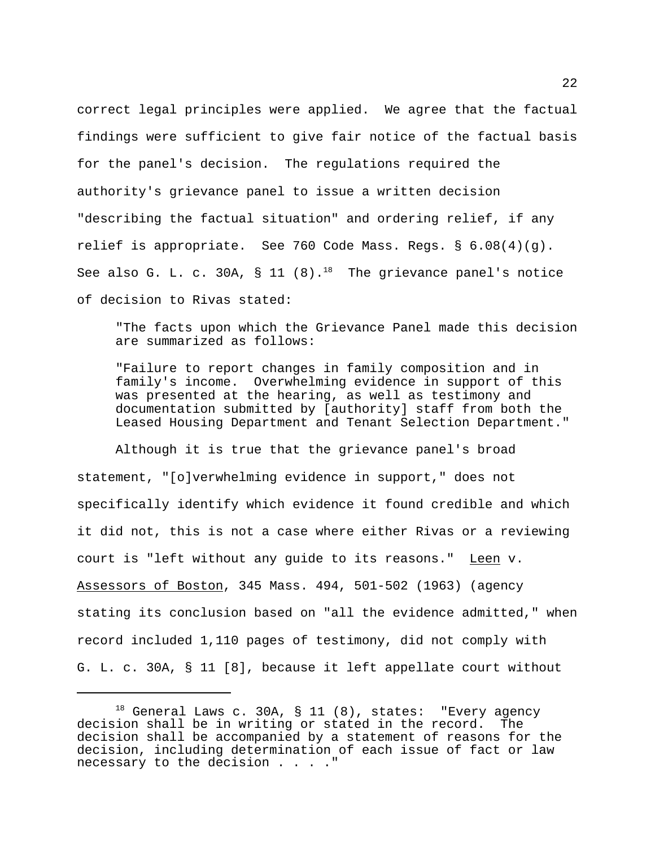correct legal principles were applied. We agree that the factual findings were sufficient to give fair notice of the factual basis for the panel's decision. The regulations required the authority's grievance panel to issue a written decision "describing the factual situation" and ordering relief, if any relief is appropriate. See 760 Code Mass. Regs. § 6.08(4)(g). See also G. L. c. 30A, § 11 (8).<sup>18</sup> The grievance panel's notice of decision to Rivas stated:

"The facts upon which the Grievance Panel made this decision are summarized as follows:

"Failure to report changes in family composition and in family's income. Overwhelming evidence in support of this was presented at the hearing, as well as testimony and documentation submitted by [authority] staff from both the Leased Housing Department and Tenant Selection Department."

Although it is true that the grievance panel's broad statement, "[o]verwhelming evidence in support," does not specifically identify which evidence it found credible and which it did not, this is not a case where either Rivas or a reviewing court is "left without any guide to its reasons." Leen v. Assessors of Boston, 345 Mass. 494, 501-502 (1963) (agency stating its conclusion based on "all the evidence admitted," when record included 1,110 pages of testimony, did not comply with G. L. c. 30A, § 11 [8], because it left appellate court without

 $18$  General Laws c. 30A, § 11 (8), states: "Every agency decision shall be in writing or stated in the record. The decision shall be accompanied by a statement of reasons for the decision, including determination of each issue of fact or law necessary to the decision . . . ."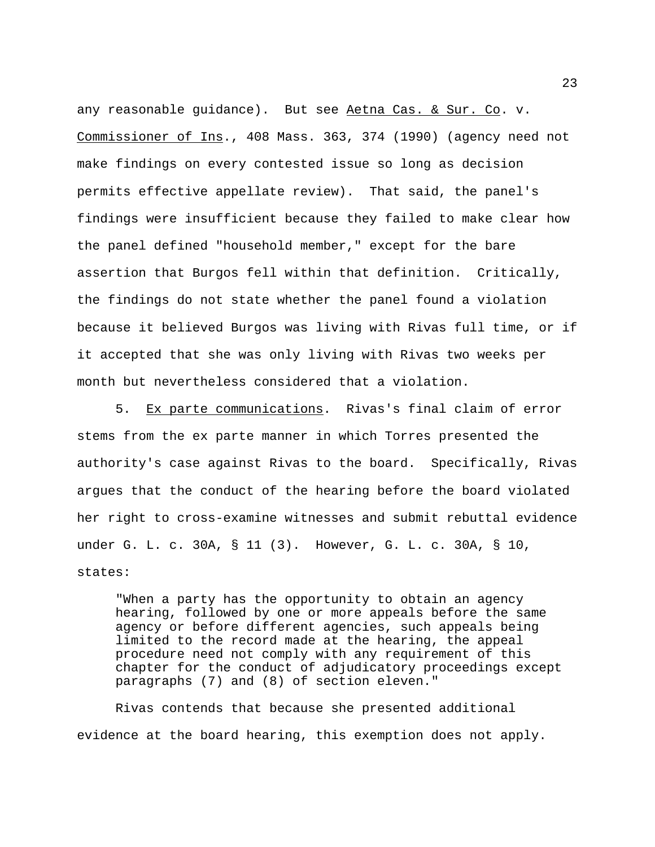any reasonable guidance). But see Aetna Cas. & Sur. Co. v. Commissioner of Ins., 408 Mass. 363, 374 (1990) (agency need not make findings on every contested issue so long as decision permits effective appellate review). That said, the panel's findings were insufficient because they failed to make clear how the panel defined "household member," except for the bare assertion that Burgos fell within that definition. Critically, the findings do not state whether the panel found a violation because it believed Burgos was living with Rivas full time, or if it accepted that she was only living with Rivas two weeks per month but nevertheless considered that a violation.

5. Ex parte communications. Rivas's final claim of error stems from the ex parte manner in which Torres presented the authority's case against Rivas to the board. Specifically, Rivas argues that the conduct of the hearing before the board violated her right to cross-examine witnesses and submit rebuttal evidence under G. L. c. 30A, § 11 (3). However, G. L. c. 30A, § 10, states:

"When a party has the opportunity to obtain an agency hearing, followed by one or more appeals before the same agency or before different agencies, such appeals being limited to the record made at the hearing, the appeal procedure need not comply with any requirement of this chapter for the conduct of adjudicatory proceedings except paragraphs (7) and (8) of section eleven."

Rivas contends that because she presented additional evidence at the board hearing, this exemption does not apply.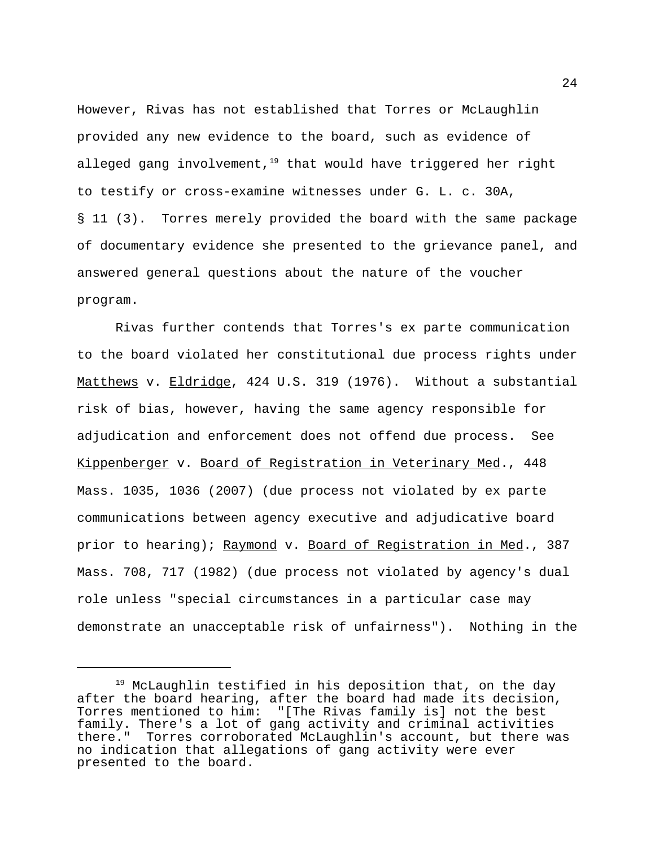However, Rivas has not established that Torres or McLaughlin provided any new evidence to the board, such as evidence of alleged gang involvement, $19$  that would have triggered her right to testify or cross-examine witnesses under G. L. c. 30A, § 11 (3). Torres merely provided the board with the same package of documentary evidence she presented to the grievance panel, and answered general questions about the nature of the voucher program.

Rivas further contends that Torres's ex parte communication to the board violated her constitutional due process rights under Matthews v. Eldridge, 424 U.S. 319 (1976). Without a substantial risk of bias, however, having the same agency responsible for adjudication and enforcement does not offend due process. See Kippenberger v. Board of Registration in Veterinary Med., 448 Mass. 1035, 1036 (2007) (due process not violated by ex parte communications between agency executive and adjudicative board prior to hearing); Raymond v. Board of Registration in Med., 387 Mass. 708, 717 (1982) (due process not violated by agency's dual role unless "special circumstances in a particular case may demonstrate an unacceptable risk of unfairness"). Nothing in the

<sup>&</sup>lt;sup>19</sup> McLaughlin testified in his deposition that, on the day after the board hearing, after the board had made its decision, Torres mentioned to him: "[The Rivas family is] not the best family. There's a lot of gang activity and criminal activities there." Torres corroborated McLaughlin's account, but there was no indication that allegations of gang activity were ever presented to the board.